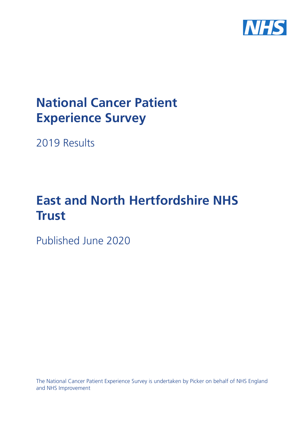

# **National Cancer Patient Experience Survey**

2019 Results

# **East and North Hertfordshire NHS Trust**

Published June 2020

The National Cancer Patient Experience Survey is undertaken by Picker on behalf of NHS England and NHS Improvement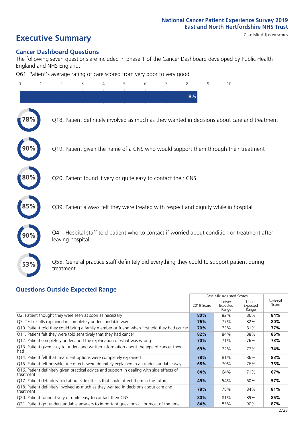# **Executive Summary** Case Mix Adjusted scores

#### **Cancer Dashboard Questions**

The following seven questions are included in phase 1 of the Cancer Dashboard developed by Public Health England and NHS England:

Q61. Patient's average rating of care scored from very poor to very good

| $\overline{0}$ | $\overline{2}$                                                | 3 | 4 | 5 | 6 | 7 | 8   | 9 | 10                                                                                            |
|----------------|---------------------------------------------------------------|---|---|---|---|---|-----|---|-----------------------------------------------------------------------------------------------|
|                |                                                               |   |   |   |   |   | 8.5 |   |                                                                                               |
|                |                                                               |   |   |   |   |   |     |   | Q18. Patient definitely involved as much as they wanted in decisions about care and treatment |
|                |                                                               |   |   |   |   |   |     |   | Q19. Patient given the name of a CNS who would support them through their treatment           |
| 80%            | Q20. Patient found it very or quite easy to contact their CNS |   |   |   |   |   |     |   |                                                                                               |
|                |                                                               |   |   |   |   |   |     |   | Q39. Patient always felt they were treated with respect and dignity while in hospital         |
|                | leaving hospital                                              |   |   |   |   |   |     |   | Q41. Hospital staff told patient who to contact if worried about condition or treatment after |
| 53%            | treatment                                                     |   |   |   |   |   |     |   | Q55. General practice staff definitely did everything they could to support patient during    |
|                |                                                               |   |   |   |   |   |     |   |                                                                                               |

#### **Questions Outside Expected Range**

|                                                                                                         |            | Case Mix Adjusted Scores   |                            |                   |
|---------------------------------------------------------------------------------------------------------|------------|----------------------------|----------------------------|-------------------|
|                                                                                                         | 2019 Score | Lower<br>Expected<br>Range | Upper<br>Expected<br>Range | National<br>Score |
| Q2. Patient thought they were seen as soon as necessary                                                 | 80%        | 82%                        | 86%                        | 84%               |
| Q7. Test results explained in completely understandable way                                             | 76%        | 77%                        | 82%                        | 80%               |
| Q10. Patient told they could bring a family member or friend when first told they had cancer            | 70%        | 73%                        | 81%                        | 77%               |
| Q11. Patient felt they were told sensitively that they had cancer                                       | 82%        | 84%                        | 88%                        | 86%               |
| Q12. Patient completely understood the explanation of what was wrong                                    | 70%        | 71%                        | 76%                        | 73%               |
| Q13. Patient given easy to understand written information about the type of cancer they<br>had          | 69%        | 72%                        | 77%                        | 74%               |
| Q14. Patient felt that treatment options were completely explained                                      | 78%        | 81%                        | 86%                        | 83%               |
| Q15. Patient felt possible side effects were definitely explained in an understandable way              | 68%        | 70%                        | 76%                        | 73%               |
| Q16. Patient definitely given practical advice and support in dealing with side effects of<br>treatment | 64%        | 64%                        | 71%                        | 67%               |
| Q17. Patient definitely told about side effects that could affect them in the future                    | 49%        | 54%                        | 60%                        | 57%               |
| Q18. Patient definitely involved as much as they wanted in decisions about care and<br>treatment        | 78%        | 78%                        | 84%                        | 81%               |
| Q20. Patient found it very or quite easy to contact their CNS                                           | 80%        | 81%                        | 89%                        | 85%               |
| Q21. Patient got understandable answers to important questions all or most of the time                  | 84%        | 85%                        | 90%                        | 87%               |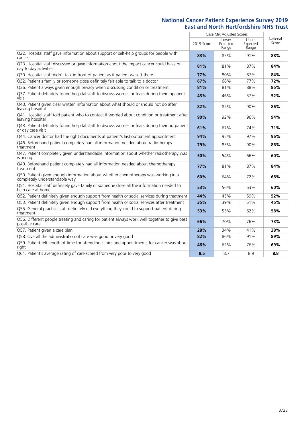|                                                                                                                       | Case Mix Adjusted Scores |                            |                            |                   |
|-----------------------------------------------------------------------------------------------------------------------|--------------------------|----------------------------|----------------------------|-------------------|
|                                                                                                                       | 2019 Score               | Lower<br>Expected<br>Range | Upper<br>Expected<br>Range | National<br>Score |
| Q22. Hospital staff gave information about support or self-help groups for people with<br>cancer                      | 83%                      | 85%                        | 91%                        | 88%               |
| Q23. Hospital staff discussed or gave information about the impact cancer could have on<br>day to day activities      | 81%                      | 81%                        | 87%                        | 84%               |
| Q30. Hospital staff didn't talk in front of patient as if patient wasn't there                                        | 77%                      | 80%                        | 87%                        | 84%               |
| Q32. Patient's family or someone close definitely felt able to talk to a doctor                                       | 67%                      | 68%                        | 77%                        | 72%               |
| Q36. Patient always given enough privacy when discussing condition or treatment                                       | 81%                      | 81%                        | 88%                        | 85%               |
| Q37. Patient definitely found hospital staff to discuss worries or fears during their inpatient<br>visit              | 43%                      | 46%                        | 57%                        | 52%               |
| Q40. Patient given clear written information about what should or should not do after<br>leaving hospital             | 82%                      | 82%                        | 90%                        | 86%               |
| Q41. Hospital staff told patient who to contact if worried about condition or treatment after<br>leaving hospital     | 90%                      | 92%                        | 96%                        | 94%               |
| Q43. Patient definitely found hospital staff to discuss worries or fears during their outpatient<br>or day case visit | 61%                      | 67%                        | 74%                        | 71%               |
| Q44. Cancer doctor had the right documents at patient's last outpatient appointment                                   | 94%                      | 95%                        | 97%                        | 96%               |
| Q46. Beforehand patient completely had all information needed about radiotherapy<br>treatment                         | 79%                      | 83%                        | 90%                        | 86%               |
| Q47. Patient completely given understandable information about whether radiotherapy was<br>working                    | 50%                      | 54%                        | 66%                        | 60%               |
| Q49. Beforehand patient completely had all information needed about chemotherapy<br>treatment                         | 77%                      | 81%                        | 87%                        | 84%               |
| Q50. Patient given enough information about whether chemotherapy was working in a<br>completely understandable way    | 60%                      | 64%                        | 72%                        | 68%               |
| Q51. Hospital staff definitely gave family or someone close all the information needed to<br>help care at home        | 53%                      | 56%                        | 63%                        | 60%               |
| Q52. Patient definitely given enough support from health or social services during treatment                          | 44%                      | 45%                        | 59%                        | 52%               |
| Q53. Patient definitely given enough support from health or social services after treatment                           | 35%                      | 39%                        | 51%                        | 45%               |
| Q55. General practice staff definitely did everything they could to support patient during<br>treatment               | 53%                      | 55%                        | 62%                        | 58%               |
| Q56. Different people treating and caring for patient always work well together to give best<br>possible care         | 66%                      | 70%                        | 76%                        | 73%               |
| Q57. Patient given a care plan                                                                                        | 28%                      | 34%                        | 41%                        | 38%               |
| Q58. Overall the administration of care was good or very good                                                         | 82%                      | 86%                        | 91%                        | 89%               |
| Q59. Patient felt length of time for attending clinics and appointments for cancer was about<br>right                 | 46%                      | 62%                        | 76%                        | 69%               |
| Q61. Patient's average rating of care scored from very poor to very good                                              | 8.5                      | 8.7                        | 8.9                        | 8.8               |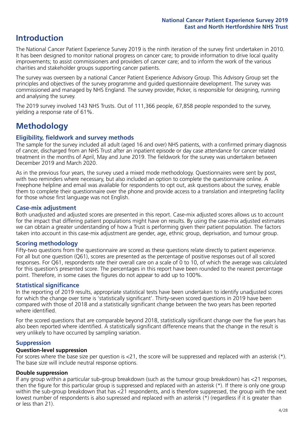## **Introduction**

The National Cancer Patient Experience Survey 2019 is the ninth iteration of the survey first undertaken in 2010. It has been designed to monitor national progress on cancer care; to provide information to drive local quality improvements; to assist commissioners and providers of cancer care; and to inform the work of the various charities and stakeholder groups supporting cancer patients.

The survey was overseen by a national Cancer Patient Experience Advisory Group. This Advisory Group set the principles and objectives of the survey programme and guided questionnaire development. The survey was commissioned and managed by NHS England. The survey provider, Picker, is responsible for designing, running and analysing the survey.

The 2019 survey involved 143 NHS Trusts. Out of 111,366 people, 67,858 people responded to the survey, yielding a response rate of 61%.

# **Methodology**

#### **Eligibility, fieldwork and survey methods**

The sample for the survey included all adult (aged 16 and over) NHS patients, with a confirmed primary diagnosis of cancer, discharged from an NHS Trust after an inpatient episode or day case attendance for cancer related treatment in the months of April, May and June 2019. The fieldwork for the survey was undertaken between December 2019 and March 2020.

As in the previous four years, the survey used a mixed mode methodology. Questionnaires were sent by post, with two reminders where necessary, but also included an option to complete the questionnaire online. A Freephone helpline and email was available for respondents to opt out, ask questions about the survey, enable them to complete their questionnaire over the phone and provide access to a translation and interpreting facility for those whose first language was not English.

#### **Case-mix adjustment**

Both unadjusted and adjusted scores are presented in this report. Case-mix adjusted scores allows us to account for the impact that differing patient populations might have on results. By using the case-mix adjusted estimates we can obtain a greater understanding of how a Trust is performing given their patient population. The factors taken into account in this case-mix adjustment are gender, age, ethnic group, deprivation, and tumour group.

#### **Scoring methodology**

Fifty-two questions from the questionnaire are scored as these questions relate directly to patient experience. For all but one question (Q61), scores are presented as the percentage of positive responses out of all scored responses. For Q61, respondents rate their overall care on a scale of 0 to 10, of which the average was calculated for this question's presented score. The percentages in this report have been rounded to the nearest percentage point. Therefore, in some cases the figures do not appear to add up to 100%.

#### **Statistical significance**

In the reporting of 2019 results, appropriate statistical tests have been undertaken to identify unadjusted scores for which the change over time is 'statistically significant'. Thirty-seven scored questions in 2019 have been compared with those of 2018 and a statistically significant change between the two years has been reported where identified.

For the scored questions that are comparable beyond 2018, statistically significant change over the five years has also been reported where identified. A statistically significant difference means that the change in the result is very unlikely to have occurred by sampling variation.

#### **Suppression**

#### **Question-level suppression**

For scores where the base size per question is  $<$ 21, the score will be suppressed and replaced with an asterisk (\*). The base size will include neutral response options.

#### **Double suppression**

If any group within a particular sub-group breakdown (such as the tumour group breakdown) has <21 responses, then the figure for this particular group is suppressed and replaced with an asterisk (\*). If there is only one group within the sub-group breakdown that has <21 respondents, and is therefore suppressed, the group with the next lowest number of respondents is also supressed and replaced with an asterisk (\*) (regardless if it is greater than or less than 21).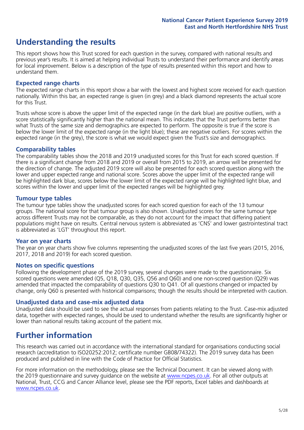## **Understanding the results**

This report shows how this Trust scored for each question in the survey, compared with national results and previous year's results. It is aimed at helping individual Trusts to understand their performance and identify areas for local improvement. Below is a description of the type of results presented within this report and how to understand them.

#### **Expected range charts**

The expected range charts in this report show a bar with the lowest and highest score received for each question nationally. Within this bar, an expected range is given (in grey) and a black diamond represents the actual score for this Trust.

Trusts whose score is above the upper limit of the expected range (in the dark blue) are positive outliers, with a score statistically significantly higher than the national mean. This indicates that the Trust performs better than what Trusts of the same size and demographics are expected to perform. The opposite is true if the score is below the lower limit of the expected range (in the light blue); these are negative outliers. For scores within the expected range (in the grey), the score is what we would expect given the Trust's size and demographics.

#### **Comparability tables**

The comparability tables show the 2018 and 2019 unadjusted scores for this Trust for each scored question. If there is a significant change from 2018 and 2019 or overall from 2015 to 2019, an arrow will be presented for the direction of change. The adjusted 2019 score will also be presented for each scored question along with the lower and upper expected range and national score. Scores above the upper limit of the expected range will be highlighted dark blue, scores below the lower limit of the expected range will be highlighted light blue, and scores within the lower and upper limit of the expected ranges will be highlighted grey.

#### **Tumour type tables**

The tumour type tables show the unadjusted scores for each scored question for each of the 13 tumour groups. The national score for that tumour group is also shown. Unadjusted scores for the same tumour type across different Trusts may not be comparable, as they do not account for the impact that differing patient populations might have on results. Central nervous system is abbreviated as 'CNS' and lower gastrointestinal tract is abbreviated as 'LGT' throughout this report.

#### **Year on year charts**

The year on year charts show five columns representing the unadjusted scores of the last five years (2015, 2016, 2017, 2018 and 2019) for each scored question.

#### **Notes on specific questions**

Following the development phase of the 2019 survey, several changes were made to the questionnaire. Six scored questions were amended (Q5, Q18, Q30, Q35, Q56 and Q60) and one non-scored question (Q29) was amended that impacted the comparability of questions Q30 to Q41. Of all questions changed or impacted by change, only Q60 is presented with historical comparisons; though the results should be interpreted with caution.

#### **Unadjusted data and case-mix adjusted data**

Unadjusted data should be used to see the actual responses from patients relating to the Trust. Case-mix adjusted data, together with expected ranges, should be used to understand whether the results are significantly higher or lower than national results taking account of the patient mix.

### **Further information**

This research was carried out in accordance with the international standard for organisations conducting social research (accreditation to ISO20252:2012; certificate number GB08/74322). The 2019 survey data has been produced and published in line with the Code of Practice for Official Statistics.

For more information on the methodology, please see the Technical Document. It can be viewed along with the 2019 questionnaire and survey quidance on the website at [www.ncpes.co.uk](https://www.ncpes.co.uk/supporting-documents). For all other outputs at National, Trust, CCG and Cancer Alliance level, please see the PDF reports, Excel tables and dashboards at [www.ncpes.co.uk.](https://www.ncpes.co.uk/current-results)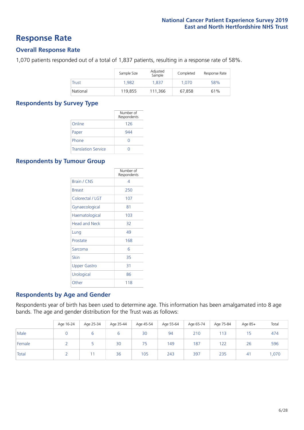### **Response Rate**

#### **Overall Response Rate**

1,070 patients responded out of a total of 1,837 patients, resulting in a response rate of 58%.

|          | Sample Size | Adjusted<br>Sample | Completed | Response Rate |
|----------|-------------|--------------------|-----------|---------------|
| Trust    | 1.982       | 1.837              | 1.070     | 58%           |
| National | 119,855     | 111.366            | 67,858    | 61%           |

#### **Respondents by Survey Type**

|                            | Number of        |
|----------------------------|------------------|
|                            | Respondents      |
| Online                     | 126              |
| Paper                      | 944              |
| Phone                      | $\left( \right)$ |
| <b>Translation Service</b> |                  |

#### **Respondents by Tumour Group**

|                      | Number of<br>Respondents |
|----------------------|--------------------------|
| <b>Brain / CNS</b>   | 4                        |
| <b>Breast</b>        | 250                      |
| Colorectal / LGT     | 107                      |
| Gynaecological       | 81                       |
| Haematological       | 103                      |
| <b>Head and Neck</b> | 32                       |
| Lung                 | 49                       |
| Prostate             | 168                      |
| Sarcoma              | հ                        |
| Skin                 | 35                       |
| Upper Gastro         | 31                       |
| Urological           | 86                       |
| Other                | 118                      |

#### **Respondents by Age and Gender**

Respondents year of birth has been used to determine age. This information has been amalgamated into 8 age bands. The age and gender distribution for the Trust was as follows:

|        | Age 16-24 | Age 25-34 | Age 35-44 | Age 45-54 | Age 55-64 | Age 65-74 | Age 75-84 | Age 85+ | Total |
|--------|-----------|-----------|-----------|-----------|-----------|-----------|-----------|---------|-------|
| Male   |           |           | ь         | 30        | 94        | 210       | 13        | 15      | 474   |
| Female |           |           | 30        | 75        | 149       | 187       | 122       | 26      | 596   |
| Total  |           |           | 36        | 105       | 243       | 397       | 235       | 41      | 1,070 |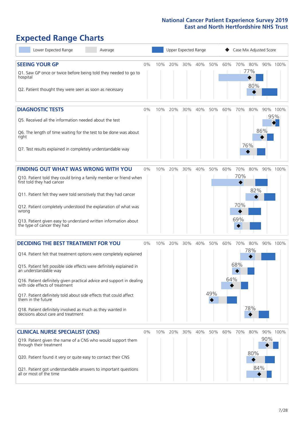# **Expected Range Charts**

| Lower Expected Range<br>Average                                                                                                                                                                                                                                                                                                                                                                                                                                                                                             |       |     | <b>Upper Expected Range</b> |     |     |            |            | Case Mix Adjusted Score  |                   |     |                 |
|-----------------------------------------------------------------------------------------------------------------------------------------------------------------------------------------------------------------------------------------------------------------------------------------------------------------------------------------------------------------------------------------------------------------------------------------------------------------------------------------------------------------------------|-------|-----|-----------------------------|-----|-----|------------|------------|--------------------------|-------------------|-----|-----------------|
| <b>SEEING YOUR GP</b><br>Q1. Saw GP once or twice before being told they needed to go to<br>hospital<br>Q2. Patient thought they were seen as soon as necessary                                                                                                                                                                                                                                                                                                                                                             | $0\%$ | 10% | 20%                         | 30% | 40% | 50%        | 60%        | 70%                      | 80%<br>77%<br>80% |     | 90% 100%        |
| <b>DIAGNOSTIC TESTS</b><br>Q5. Received all the information needed about the test<br>Q6. The length of time waiting for the test to be done was about<br>right<br>Q7. Test results explained in completely understandable way                                                                                                                                                                                                                                                                                               | 0%    | 10% | 20%                         | 30% | 40% | 50%        | 60%        | 70%                      | 80%<br>76%        | 86% | 90% 100%<br>95% |
| <b>FINDING OUT WHAT WAS WRONG WITH YOU</b><br>Q10. Patient told they could bring a family member or friend when<br>first told they had cancer<br>Q11. Patient felt they were told sensitively that they had cancer<br>Q12. Patient completely understood the explanation of what was<br>wrong<br>Q13. Patient given easy to understand written information about<br>the type of cancer they had                                                                                                                             | 0%    | 10% | 20%                         | 30% | 40% | 50%        | 60%        | 70%<br>70%<br>70%<br>69% | 80%<br>82%        |     | 90% 100%        |
| <b>DECIDING THE BEST TREATMENT FOR YOU</b><br>Q14. Patient felt that treatment options were completely explained<br>Q15. Patient felt possible side effects were definitely explained in<br>an understandable way<br>Q16. Patient definitely given practical advice and support in dealing<br>with side effects of treatment<br>Q17. Patient definitely told about side effects that could affect<br>them in the future<br>Q18. Patient definitely involved as much as they wanted in<br>decisions about care and treatment | 0%    | 10% | 20%                         | 30% | 40% | 50%<br>49% | 60%<br>64% | 70%<br>68%               | 80%<br>78%<br>78% |     | 90% 100%        |
| <b>CLINICAL NURSE SPECIALIST (CNS)</b><br>Q19. Patient given the name of a CNS who would support them<br>through their treatment<br>Q20. Patient found it very or quite easy to contact their CNS<br>Q21. Patient got understandable answers to important questions<br>all or most of the time                                                                                                                                                                                                                              | 0%    | 10% | 20%                         | 30% | 40% | 50%        | 60%        | 70%                      | 80%<br>80%<br>84% | 90% | 90% 100%        |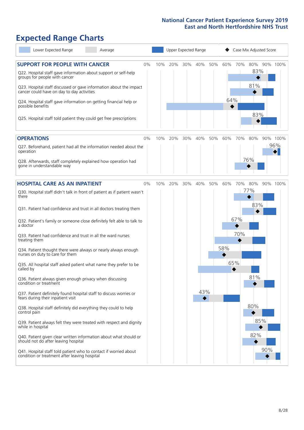# **Expected Range Charts**

| Lower Expected Range<br>Average                                                                                                                                                                                                                                                                                            |     | Upper Expected Range |     |          |     |     | Case Mix Adjusted Score |                   |                 |  |  |
|----------------------------------------------------------------------------------------------------------------------------------------------------------------------------------------------------------------------------------------------------------------------------------------------------------------------------|-----|----------------------|-----|----------|-----|-----|-------------------------|-------------------|-----------------|--|--|
| <b>SUPPORT FOR PEOPLE WITH CANCER</b><br>0%<br>Q22. Hospital staff gave information about support or self-help<br>groups for people with cancer<br>Q23. Hospital staff discussed or gave information about the impact                                                                                                      | 10% | 20%                  | 30% | 40%      | 50% | 60% | 70%                     | 80%<br>83%<br>81% | 90% 100%        |  |  |
| cancer could have on day to day activities<br>Q24. Hospital staff gave information on getting financial help or<br>possible benefits<br>Q25. Hospital staff told patient they could get free prescriptions                                                                                                                 |     |                      |     |          |     | 64% |                         | 83%               |                 |  |  |
| <b>OPERATIONS</b><br>0%<br>Q27. Beforehand, patient had all the information needed about the<br>operation<br>Q28. Afterwards, staff completely explained how operation had<br>gone in understandable way                                                                                                                   | 10% | 20%                  | 30% | 40%      | 50% | 60% | 70%                     | 80%<br>76%        | 90% 100%<br>96% |  |  |
| <b>HOSPITAL CARE AS AN INPATIENT</b><br>0%<br>Q30. Hospital staff didn't talk in front of patient as if patient wasn't<br>there                                                                                                                                                                                            | 10% | 20%                  | 30% | 40%      | 50% | 60% | 70%                     | 80%<br>77%        | 90% 100%        |  |  |
| Q31. Patient had confidence and trust in all doctors treating them<br>Q32. Patient's family or someone close definitely felt able to talk to<br>a doctor<br>Q33. Patient had confidence and trust in all the ward nurses<br>treating them<br>Q34. Patient thought there were always or nearly always enough                |     |                      |     |          |     | 58% | 67%<br>70%              | 83%               |                 |  |  |
| nurses on duty to care for them<br>Q35. All hospital staff asked patient what name they prefer to be<br>called by<br>Q36. Patient always given enough privacy when discussing                                                                                                                                              |     |                      |     |          |     |     | 65%                     | 81%               |                 |  |  |
| condition or treatment<br>Q37. Patient definitely found hospital staff to discuss worries or<br>fears during their inpatient visit<br>Q38. Hospital staff definitely did everything they could to help<br>control pain                                                                                                     |     |                      |     | 43%<br>◆ |     |     |                         | 80%               |                 |  |  |
| Q39. Patient always felt they were treated with respect and dignity<br>while in hospital<br>Q40. Patient given clear written information about what should or<br>should not do after leaving hospital<br>Q41. Hospital staff told patient who to contact if worried about<br>condition or treatment after leaving hospital |     |                      |     |          |     |     |                         | 85%<br>82%<br>90% |                 |  |  |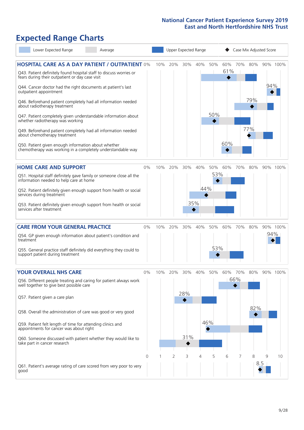# **Expected Range Charts**

|                                                                                        | Lower Expected Range                                                                                                                                                                                                                                                                                                                                                                                                                                                                   | Average |       |     |     |                   | Upper Expected Range |            |            |            | Case Mix Adjusted Score |          |          |
|----------------------------------------------------------------------------------------|----------------------------------------------------------------------------------------------------------------------------------------------------------------------------------------------------------------------------------------------------------------------------------------------------------------------------------------------------------------------------------------------------------------------------------------------------------------------------------------|---------|-------|-----|-----|-------------------|----------------------|------------|------------|------------|-------------------------|----------|----------|
| outpatient appointment<br>about radiotherapy treatment<br>about chemotherapy treatment | <b>HOSPITAL CARE AS A DAY PATIENT / OUTPATIENT 0%</b><br>Q43. Patient definitely found hospital staff to discuss worries or<br>fears during their outpatient or day case visit<br>Q44. Cancer doctor had the right documents at patient's last<br>Q46. Beforehand patient completely had all information needed<br>Q47. Patient completely given understandable information about<br>whether radiotherapy was working<br>Q49. Beforehand patient completely had all information needed |         |       | 10% | 20% | 30%               | 40%                  | 50%<br>50% | 60%<br>61% | 70%        | 80%<br>79%<br>77%       | 94%      | 90% 100% |
|                                                                                        | Q50. Patient given enough information about whether<br>chemotherapy was working in a completely understandable way                                                                                                                                                                                                                                                                                                                                                                     |         |       |     |     |                   |                      |            | 60%        |            |                         |          |          |
| services during treatment<br>services after treatment                                  | <b>HOME CARE AND SUPPORT</b><br>Q51. Hospital staff definitely gave family or someone close all the<br>information needed to help care at home<br>Q52. Patient definitely given enough support from health or social<br>Q53. Patient definitely given enough support from health or social                                                                                                                                                                                             |         | $0\%$ | 10% | 20% | 30%               | 40%<br>44%<br>35%    | 50%<br>53% | 60%        | 70%        | 80%                     |          | 90% 100% |
| treatment<br>support patient during treatment                                          | <b>CARE FROM YOUR GENERAL PRACTICE</b><br>Q54. GP given enough information about patient's condition and<br>Q55. General practice staff definitely did everything they could to                                                                                                                                                                                                                                                                                                        |         | $0\%$ | 10% | 20% | 30%               | 40%                  | 50%<br>53% | 60%        | 70%        | 80%                     | 94%      | 90% 100% |
| Q57. Patient given a care plan<br>take part in cancer research                         | <b>YOUR OVERALL NHS CARE</b><br>Q56. Different people treating and caring for patient always work<br>well together to give best possible care<br>Q58. Overall the administration of care was good or very good<br>Q59. Patient felt length of time for attending clinics and<br>appointments for cancer was about right<br>Q60. Someone discussed with patient whether they would like to                                                                                              |         | 0%    | 10% | 20% | 30%<br>28%<br>31% | 40%                  | 50%<br>46% | 60%        | 70%<br>66% | 80%<br>82%              |          | 90% 100% |
| qood                                                                                   | Q61. Patient's average rating of care scored from very poor to very                                                                                                                                                                                                                                                                                                                                                                                                                    |         | 0     |     | 2   | 3                 | 4                    | 5          | 6          | 7          | 8                       | 9<br>8.5 | 10       |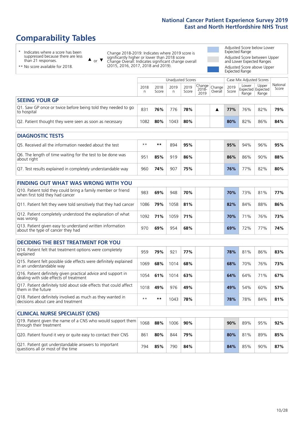# **Comparability Tables**

\* Indicates where a score has been suppressed because there are less than 21 responses.

\*\* No score available for 2018.

 $\triangle$  or  $\nabla$ 

Change 2018-2019: Indicates where 2019 score is significantly higher or lower than 2018 score Change Overall: Indicates significant change overall (2015, 2016, 2017, 2018 and 2019).

Adjusted Score below Lower Expected Range Adjusted Score between Upper and Lower Expected Ranges Adjusted Score above Upper Expected Range

|                                                                             |           |               | Unadjusted Scores |               |                                             |         |               | Case Mix Adjusted Scores |                                     |                   |
|-----------------------------------------------------------------------------|-----------|---------------|-------------------|---------------|---------------------------------------------|---------|---------------|--------------------------|-------------------------------------|-------------------|
|                                                                             | 2018<br>n | 2018<br>Score | 2019<br>n         | 2019<br>Score | $\sim$   Change   Change  <br>2018-<br>2019 | Overall | 2019<br>Score | Lower<br>Range           | Upper<br>Expected Expected<br>Range | National<br>Score |
| <b>SEEING YOUR GP</b>                                                       |           |               |                   |               |                                             |         |               |                          |                                     |                   |
| Q1. Saw GP once or twice before being told they needed to go<br>to hospital | 831       | 76%           | 776               | 78%           |                                             |         | 77%           | 76%                      | 82%                                 | 79%               |
| Q2. Patient thought they were seen as soon as necessary                     | 1082      | 80%           | 1043              | 80%           |                                             |         | 80%           | 82%                      | 86%                                 | 84%               |
| NIA CHIOCTIC TECTO                                                          |           |               |                   |               |                                             |         |               |                          |                                     |                   |

| <b>DIAGNOSTIC TESTS</b>                                                   |      |     |     |     |  |  |     |     |     |     |  |  |
|---------------------------------------------------------------------------|------|-----|-----|-----|--|--|-----|-----|-----|-----|--|--|
| Q5. Received all the information needed about the test                    | $**$ | **  | 894 | 95% |  |  | 95% | 94% | 96% | 95% |  |  |
| Q6. The length of time waiting for the test to be done was<br>about right | 951  | 85% | 919 | 86% |  |  | 86% | 86% | 90% | 88% |  |  |
| Q7. Test results explained in completely understandable way               | 960  | 74% | 907 | 75% |  |  | 76% | 77% | 82% | 80% |  |  |

| <b>FINDING OUT WHAT WAS WRONG WITH YOU</b>                                                      |      |     |      |     |     |     |     |     |
|-------------------------------------------------------------------------------------------------|------|-----|------|-----|-----|-----|-----|-----|
| Q10. Patient told they could bring a family member or friend<br>when first told they had cancer | 983  | 69% | 948  | 70% | 70% | 73% | 81% | 77% |
| Q11. Patient felt they were told sensitively that they had cancer                               | 1086 | 79% | 1058 | 81% | 82% | 84% | 88% | 86% |
| Q12. Patient completely understood the explanation of what<br>was wrong                         | 1092 | 71% | 1059 | 71% | 70% | 71% | 76% | 73% |
| Q13. Patient given easy to understand written information<br>about the type of cancer they had  | 970  | 69% | 954  | 68% | 69% | 72% | 77% | 74% |

| <b>DECIDING THE BEST TREATMENT FOR YOU</b>                                                              |      |     |      |     |  |     |     |     |     |
|---------------------------------------------------------------------------------------------------------|------|-----|------|-----|--|-----|-----|-----|-----|
| Q14. Patient felt that treatment options were completely<br>explained                                   | 959  | 79% | 921  | 77% |  | 78% | 81% | 86% | 83% |
| Q15. Patient felt possible side effects were definitely explained<br>in an understandable way           | 1069 | 68% | 1014 | 68% |  | 68% | 70% | 76% | 73% |
| Q16. Patient definitely given practical advice and support in<br>dealing with side effects of treatment | 1054 | 61% | 1014 | 63% |  | 64% | 64% | 71% | 67% |
| Q17. Patient definitely told about side effects that could affect<br>them in the future                 | 1018 | 49% | 976  | 49% |  | 49% | 54% | 60% | 57% |
| Q18. Patient definitely involved as much as they wanted in<br>decisions about care and treatment        | $**$ | **  | 1043 | 78% |  | 78% | 78% | 84% | 81% |

| <b>CLINICAL NURSE SPECIALIST (CNS)</b>                                                    |      |     |      |     |     |     |     |     |
|-------------------------------------------------------------------------------------------|------|-----|------|-----|-----|-----|-----|-----|
| [Q19. Patient given the name of a CNS who would support them<br>through their treatment   | 1068 | 88% | 1006 | 90% | 90% | 89% | 95% | 92% |
| Q20. Patient found it very or quite easy to contact their CNS                             | 861  | 80% | 844  | 79% | 80% | 81% | 89% | 85% |
| Q21. Patient got understandable answers to important<br>questions all or most of the time | 794  | 85% | 790  | 84% | 84% | 85% | 90% | 87% |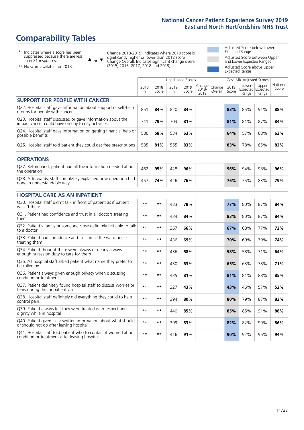# **Comparability Tables**

\* Indicates where a score has been suppressed because there are less than 21 responses.

\*\* No score available for 2018.

 $\triangle$  or  $\nabla$ 

Change 2018-2019: Indicates where 2019 score is significantly higher or lower than 2018 score Change Overall: Indicates significant change overall (2015, 2016, 2017, 2018 and 2019).

Adjusted Score below Lower Expected Range Adjusted Score between Upper and Lower Expected Ranges Adjusted Score above Upper Expected Range

|                                                                                                                   |              |               |           | <b>Unadjusted Scores</b> |                         |                   |               | Case Mix Adjusted Scores            |                |                   |
|-------------------------------------------------------------------------------------------------------------------|--------------|---------------|-----------|--------------------------|-------------------------|-------------------|---------------|-------------------------------------|----------------|-------------------|
|                                                                                                                   | 2018<br>n.   | 2018<br>Score | 2019<br>n | 2019<br>Score            | Change<br>2018-<br>2019 | Change<br>Overall | 2019<br>Score | Lower<br>Expected Expected<br>Range | Upper<br>Range | National<br>Score |
| <b>SUPPORT FOR PEOPLE WITH CANCER</b>                                                                             |              |               |           |                          |                         |                   |               |                                     |                |                   |
| Q22. Hospital staff gave information about support or self-help<br>groups for people with cancer                  | 851          | 84%           | 820       | 84%                      |                         |                   | 83%           | 85%                                 | 91%            | 88%               |
| Q23. Hospital staff discussed or gave information about the<br>impact cancer could have on day to day activities  | 741          | 79%           | 703       | 81%                      |                         |                   | 81%           | 81%                                 | 87%            | 84%               |
| Q24. Hospital staff gave information on getting financial help or<br>possible benefits                            | 586          | 58%           | 534       | 63%                      |                         |                   | 64%           | 57%                                 | 68%            | 63%               |
| Q25. Hospital staff told patient they could get free prescriptions                                                | 585          | 81%           | 555       | 83%                      |                         |                   | 83%           | 78%                                 | 85%            | 82%               |
| <b>OPERATIONS</b>                                                                                                 |              |               |           |                          |                         |                   |               |                                     |                |                   |
| Q27. Beforehand, patient had all the information needed about<br>the operation                                    | 462          | 95%           | 428       | 96%                      |                         |                   | 96%           | 94%                                 | 98%            | 96%               |
| Q28. Afterwards, staff completely explained how operation had<br>gone in understandable way                       | 457          | 74%           | 426       | 76%                      |                         |                   | 76%           | 75%                                 | 83%            | 79%               |
| <b>HOSPITAL CARE AS AN INPATIENT</b>                                                                              |              |               |           |                          |                         |                   |               |                                     |                |                   |
| Q30. Hospital staff didn't talk in front of patient as if patient<br>wasn't there                                 | $* *$        | $***$         | 433       | 78%                      |                         |                   | 77%           | 80%                                 | 87%            | 84%               |
| Q31. Patient had confidence and trust in all doctors treating<br>them                                             | $* *$        | $***$         | 434       | 84%                      |                         |                   | 83%           | 80%                                 | 87%            | 84%               |
| Q32. Patient's family or someone close definitely felt able to talk<br>to a doctor                                | $* *$        | $***$         | 367       | 66%                      |                         |                   | 67%           | 68%                                 | 77%            | 72%               |
| Q33. Patient had confidence and trust in all the ward nurses<br>treating them                                     | $\star\star$ | **            | 436       | 69%                      |                         |                   | 70%           | 69%                                 | 79%            | 74%               |
| Q34. Patient thought there were always or nearly always<br>enough nurses on duty to care for them                 | $* *$        | $***$         | 436       | 58%                      |                         |                   | 58%           | 58%                                 | 71%            | 64%               |
| Q35. All hospital staff asked patient what name they prefer to<br>be called by                                    | $**$         | $***$         | 430       | 63%                      |                         |                   | 65%           | 63%                                 | 78%            | 71%               |
| Q36. Patient always given enough privacy when discussing<br>condition or treatment                                | $* *$        | $**$          | 435       | 81%                      |                         |                   | 81%           | 81%                                 | 88%            | 85%               |
| Q37. Patient definitely found hospital staff to discuss worries or<br>fears during their inpatient visit          | $* *$        | **            | 327       | 43%                      |                         |                   | 43%           | 46%                                 | 57%            | 52%               |
| Q38. Hospital staff definitely did everything they could to help<br>control pain                                  | $* *$        | $***$         | 394       | 80%                      |                         |                   | 80%           | 79%                                 | 87%            | 83%               |
| Q39. Patient always felt they were treated with respect and<br>dignity while in hospital                          | $* *$        | $***$         | 440       | 85%                      |                         |                   | 85%           | 85%                                 | 91%            | 88%               |
| Q40. Patient given clear written information about what should<br>or should not do after leaving hospital         | $**$         | $***$         | 399       | 83%                      |                         |                   | 82%           | 82%                                 | 90%            | 86%               |
| Q41. Hospital staff told patient who to contact if worried about<br>condition or treatment after leaving hospital | $* *$        | $***$         | 416       | 91%                      |                         |                   | 90%           | 92%                                 | 96%            | 94%               |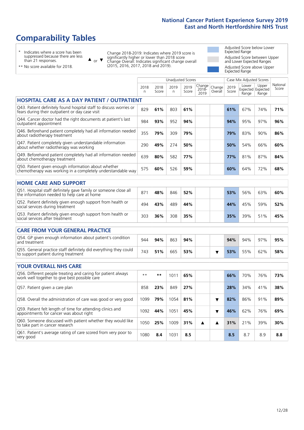# **Comparability Tables**

\* Indicates where a score has been suppressed because there are less than 21 responses.

\*\* No score available for 2018.

 $\triangle$  or  $\nabla$ 

Change 2018-2019: Indicates where 2019 score is significantly higher or lower than 2018 score Change Overall: Indicates significant change overall (2015, 2016, 2017, 2018 and 2019).

Adjusted Score below Lower Expected Range Adjusted Score between Upper and Lower Expected Ranges Adjusted Score above Upper Expected Range

|                                                                                                                       |            |               | <b>Unadjusted Scores</b> |               |                            |                   |               | Case Mix Adjusted Scores            |                |                   |
|-----------------------------------------------------------------------------------------------------------------------|------------|---------------|--------------------------|---------------|----------------------------|-------------------|---------------|-------------------------------------|----------------|-------------------|
|                                                                                                                       | 2018<br>n. | 2018<br>Score | 2019<br>n                | 2019<br>Score | Change<br>$2018 -$<br>2019 | Change<br>Overall | 2019<br>Score | Lower<br>Expected Expected<br>Range | Upper<br>Range | National<br>Score |
| <b>HOSPITAL CARE AS A DAY PATIENT / OUTPATIENT</b>                                                                    |            |               |                          |               |                            |                   |               |                                     |                |                   |
| Q43. Patient definitely found hospital staff to discuss worries or<br>fears during their outpatient or day case visit | 829        | 61%           | 803                      | 61%           |                            |                   | 61%           | 67%                                 | 74%            | 71%               |
| Q44. Cancer doctor had the right documents at patient's last<br>outpatient appointment                                | 984        | 93%           | 952                      | 94%           |                            |                   | 94%           | 95%                                 | 97%            | 96%               |
| Q46. Beforehand patient completely had all information needed<br>about radiotherapy treatment                         | 355        | 79%           | 309                      | 79%           |                            |                   | 79%           | 83%                                 | 90%            | 86%               |
| Q47. Patient completely given understandable information<br>about whether radiotherapy was working                    | 290        | 49%           | 274                      | 50%           |                            |                   | 50%           | 54%                                 | 66%            | 60%               |
| Q49. Beforehand patient completely had all information needed<br>about chemotherapy treatment                         | 639        | 80%           | 582                      | 77%           |                            |                   | 77%           | 81%                                 | 87%            | 84%               |
| Q50. Patient given enough information about whether<br>chemotherapy was working in a completely understandable way    | 575        | 60%           | 526                      | 59%           |                            |                   | 60%           | 64%                                 | 72%            | 68%               |
| <b>HOME CARE AND SUPPORT</b>                                                                                          |            |               |                          |               |                            |                   |               |                                     |                |                   |
| Q51. Hospital staff definitely gave family or someone close all<br>the information needed to help care at home        | 871        | 48%           | 846                      | 52%           |                            |                   | 53%           | 56%                                 | 63%            | 60%               |
| Q52. Patient definitely given enough support from health or<br>social services during treatment                       | 494        | 43%           | 489                      | 44%           |                            |                   | 44%           | 45%                                 | 59%            | 52%               |
| Q53. Patient definitely given enough support from health or<br>social services after treatment                        | 303        | 36%           | 308                      | 35%           |                            |                   | 35%           | 39%                                 | 51%            | 45%               |
| <b>CARE FROM YOUR GENERAL PRACTICE</b>                                                                                |            |               |                          |               |                            |                   |               |                                     |                |                   |
| Q54. GP given enough information about patient's condition<br>and treatment                                           | 944        | 94%           | 863                      | 94%           |                            |                   | 94%           | 94%                                 | 97%            | 95%               |
| Q55. General practice staff definitely did everything they could<br>to support patient during treatment               | 743        | 51%           | 665                      | 53%           |                            | ▼                 | 53%           | 55%                                 | 62%            | 58%               |
| <b>YOUR OVERALL NHS CARE</b>                                                                                          |            |               |                          |               |                            |                   |               |                                     |                |                   |
| Q56. Different people treating and caring for patient always<br>work well together to give best possible care         | $* *$      | $***$         | 1011                     | 65%           |                            |                   | 66%           | 70%                                 | 76%            | 73%               |
| Q57. Patient given a care plan                                                                                        | 858        | 23%           | 849                      | 27%           |                            |                   | 28%           | 34%                                 | 41%            | 38%               |
| Q58. Overall the administration of care was good or very good                                                         | 1099       | 79%           | 1054                     | 81%           |                            | ▼                 | 82%           | 86%                                 | 91%            | 89%               |
| Q59. Patient felt length of time for attending clinics and<br>appointments for cancer was about right                 | 1092       | 44%           | 1051                     | 45%           |                            | ▼                 | 46%           | 62%                                 | 76%            | 69%               |
| Q60. Someone discussed with patient whether they would like<br>to take part in cancer research                        | 1050       | 25%           | 1009                     | 31%           | ▲                          | ▲                 | 31%           | 21%                                 | 39%            | 30%               |
| Q61. Patient's average rating of care scored from very poor to<br>very good                                           | 1080       | 8.4           | 1031                     | 8.5           |                            |                   | 8.5           | 8.7                                 | 8.9            | 8.8               |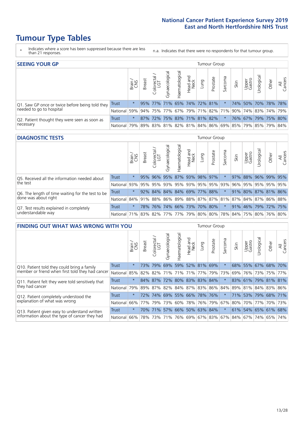# **Tumour Type Tables**

- \* Indicates where a score has been suppressed because there are less than 21 responses.
- n.a. Indicates that there were no respondents for that tumour group.

| <b>SEEING YOUR GP</b>                           |          |         |               |                             |                     |                |                  |      | Tumour Group                |         |                                                         |                 |                     |       |                |
|-------------------------------------------------|----------|---------|---------------|-----------------------------|---------------------|----------------|------------------|------|-----------------------------|---------|---------------------------------------------------------|-----------------|---------------------|-------|----------------|
|                                                 |          | Brain   | <b>Breast</b> | Colorectal<br>LGT           | ত<br>Gynaecologic   | Haematological | Head and<br>Neck | Lung | Prostate                    | Sarcoma | Skin                                                    | Upper<br>Gastro | Jrological          | Other | All<br>Cancers |
| Q1. Saw GP once or twice before being told they | Trust    | $\star$ |               | 95% 77% 71% 65% 74% 72% 81% |                     |                |                  |      |                             |         |                                                         |                 | 74% 50% 70% 78% 78% |       |                |
| needed to go to hospital                        | National | 59%     |               | 94% 75% 77%                 |                     |                |                  |      | 67%   79%   71%   82%   71% |         | 90% 74% 83% 74% 79%                                     |                 |                     |       |                |
| Q2. Patient thought they were seen as soon as   | Trust    | $\star$ |               | 87% 72%                     | 75% 83% 71% 81% 82% |                |                  |      |                             | $\star$ |                                                         |                 | 76% 67% 79% 75% 80% |       |                |
| necessary                                       | National |         |               |                             |                     |                |                  |      |                             |         | 79% 89% 83% 81% 82% 81% 84% 86% 69% 85% 79% 85% 79% 84% |                 |                     |       |                |

#### **DIAGNOSTIC TESTS** Tumour Group

|                                                   |                                                                  | Brain   | <b>Breast</b> | Colorectal | Gynaecological | Haematological | Head and<br>Neck | Lung                        | Prostate | Sarcoma | Skin   | Upper<br>Gastro | Jrological                                              | Other | All<br>Cancers |
|---------------------------------------------------|------------------------------------------------------------------|---------|---------------|------------|----------------|----------------|------------------|-----------------------------|----------|---------|--------|-----------------|---------------------------------------------------------|-------|----------------|
| Q5. Received all the information needed about     | <b>Trust</b>                                                     | $\star$ |               |            |                |                |                  | 95% 96% 95% 87% 93% 98% 97% |          |         | 97%    |                 | 88% 96% 99% 95%                                         |       |                |
| the test                                          | National                                                         | 93%     |               | 95% 95%    |                |                |                  | 93% 95% 93% 95% 95% 93%     |          |         | $96\%$ |                 | 95% 95% 95% 95%                                         |       |                |
| Q6. The length of time waiting for the test to be | Trust                                                            | $\star$ |               |            |                |                |                  | 92% 84% 84% 84% 69% 77% 88% |          |         | 91%    |                 | 80% 87% 81% 86%                                         |       |                |
| done was about right                              | <b>National</b>                                                  |         |               |            |                |                |                  |                             |          |         |        |                 | 84% 91% 88% 86% 89% 88% 87% 87% 81% 87% 84% 87% 86% 88% |       |                |
| Q7. Test results explained in completely          | Trust                                                            | $\star$ |               | 78% 76%    |                |                |                  | 74% 66% 73% 70% 80%         |          | $\star$ |        |                 | 91% 46% 79% 72% 75%                                     |       |                |
| understandable way                                | National 71% 83% 82% 77% 77% 79% 80% 80% 78% 84% 75% 80% 76% 80% |         |               |            |                |                |                  |                             |          |         |        |                 |                                                         |       |                |

| <b>FINDING OUT WHAT WAS WRONG WITH YOU</b>        |              |         |               |                             |                                 | <b>Tumour Group</b> |                  |                 |          |         |      |                 |                                               |             |                |
|---------------------------------------------------|--------------|---------|---------------|-----------------------------|---------------------------------|---------------------|------------------|-----------------|----------|---------|------|-----------------|-----------------------------------------------|-------------|----------------|
|                                                   |              | Brain   | <b>Breast</b> | ╮<br>olorectal.<br>LGT<br>Ü | Gynaecological                  | aematologica<br>Ĩ   | Head and<br>Neck | Lung            | Prostate | Sarcoma | Skin | Upper<br>Gastro | Urological                                    | Other       | All<br>Cancers |
| Q10. Patient told they could bring a family       | <b>Trust</b> | $\star$ | 73%           | 79%                         | 69%                             | 59%                 | 52%              | 81%             | 69%      | $\star$ |      | 68% 55%         | 67%                                           | 68%         | 170%           |
| member or friend when first told they had cancer  | National     | 85%     | 82%           | 82%                         | 71%                             | 71%                 | 71%              | 77% 79%         |          | 73%     | 69%  | 76%             | 73%                                           | 75%         | 77%            |
| Q11. Patient felt they were told sensitively that | Trust        | $\star$ |               | 84% 87%                     | 72%                             |                     |                  | 80% 83% 83% 84% |          | $\star$ |      | 83% 61%         |                                               | 79% 81% 81% |                |
| they had cancer                                   | National     | 79%     |               |                             | 89% 87% 82% 84% 87% 83% 86% 84% |                     |                  |                 |          |         |      |                 | 89% 81% 84% 83% 86%                           |             |                |
| Q12. Patient completely understood the            | Trust        | $\star$ | 72%           | 74%                         | 69%                             |                     |                  | 55% 66% 78% 76% |          |         | 71%  | 53%             | 79%                                           | 68% 71%     |                |
| explanation of what was wrong                     | National     | 66%     | 77%           | 79%                         | 73%                             | 60%                 |                  | 78% 76% 79%     |          | 67%     |      |                 | 80% 70% 77%                                   |             | 70% 73%        |
| Q13. Patient given easy to understand written     | Trust        | $\star$ | 70%           | 71%                         | 57%                             | 66%                 |                  | 50% 63% 84%     |          | $\star$ |      |                 | 61% 54% 65% 61%                               |             | 68%            |
| information about the type of cancer they had     | National     | 66%     | 78%           | 73%                         | 71%                             |                     |                  |                 |          |         |      |                 | 76%   69%   67%   83%   67%   84%   67%   74% | 65%         | 74%            |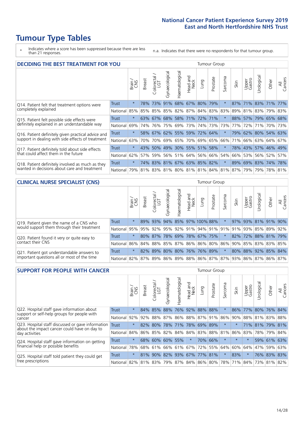# **Tumour Type Tables**

\* Indicates where a score has been suppressed because there are less than 21 responses.

n.a. Indicates that there were no respondents for that tumour group.

| <b>DECIDING THE BEST TREATMENT FOR YOU</b>         |              |         |               |                            |                |                |                        |                                   | <b>Tumour Group</b> |                                         |      | Jrological<br>Upper<br>Gastro<br>Other<br>71% 83% 71%<br>81% 83% 79% 83%<br>57% 79% 65% 68%<br>72%<br>71%<br>70% 73%<br>62% 80% 54% 63%<br>66% 63% 64% 67% |  |                     |                |  |  |  |  |  |
|----------------------------------------------------|--------------|---------|---------------|----------------------------|----------------|----------------|------------------------|-----------------------------------|---------------------|-----------------------------------------|------|------------------------------------------------------------------------------------------------------------------------------------------------------------|--|---------------------|----------------|--|--|--|--|--|
|                                                    |              | Brain   | <b>Breast</b> | olorectal<br>LGT<br>$\cup$ | Gynaecological | Haematological | ad and<br>Neck<br>Head | Lung                              | Prostate            | arcoma<br>vĀ                            | Skin |                                                                                                                                                            |  |                     | All<br>Cancers |  |  |  |  |  |
| Q14. Patient felt that treatment options were      | <b>Trust</b> | $\star$ | 78%           | 73%                        | 91%            |                |                        | 68% 67% 80% 79%                   |                     | $\star$                                 | 87%  |                                                                                                                                                            |  |                     | 77%            |  |  |  |  |  |
| completely explained                               | National     | 85%     | 85%           | 85%                        |                |                |                        | 85%   82%   87%   84%   83%   83% |                     |                                         | 89%  |                                                                                                                                                            |  |                     |                |  |  |  |  |  |
| Q15. Patient felt possible side effects were       | Trust        | $\star$ | 63%           | 67%                        |                |                |                        | 68% 58% 71% 72% 71%               |                     |                                         | 88%  |                                                                                                                                                            |  |                     |                |  |  |  |  |  |
| definitely explained in an understandable way      | National     | 69%     | 74%           | 76%                        |                |                | 75% 69% 73%            |                                   | 74% 73%             | 73%                                     | 77%  |                                                                                                                                                            |  |                     |                |  |  |  |  |  |
| Q16. Patient definitely given practical advice and | Trust        | $\star$ |               |                            |                |                |                        | 58% 67% 62% 55% 59% 72% 64%       |                     | 大                                       | 79%  |                                                                                                                                                            |  |                     |                |  |  |  |  |  |
| support in dealing with side effects of treatment  | National     | 63%     | 70%           | 70%                        |                |                | 69% 65% 70%            |                                   | 69% 65%             | 66%                                     | 71%  |                                                                                                                                                            |  |                     |                |  |  |  |  |  |
| Q17. Patient definitely told about side effects    | Trust        | $\star$ | 43%           | 50%                        |                |                |                        | 49% 30% 55% 51% 58%               |                     | $\ast$                                  | 78%  |                                                                                                                                                            |  | 43% 57% 46% 49%     |                |  |  |  |  |  |
| that could affect them in the future               | National     | 62%     | 57%           | 59%                        |                |                |                        | 56% 51% 64% 56% 66%               |                     | 54%                                     | 66%  |                                                                                                                                                            |  | 53% 56% 52%         | 57%            |  |  |  |  |  |
| Q18. Patient definitely involved as much as they   | Trust        | $\star$ |               |                            |                |                |                        | 74% 83% 81% 67% 63% 85% 82%       |                     | $\ast$                                  |      |                                                                                                                                                            |  | 89% 69% 83% 74% 78% |                |  |  |  |  |  |
| wanted in decisions about care and treatment       | National     | 79%     |               |                            |                |                |                        |                                   |                     | 81% 83% 81% 80% 81% 81% 84% 81% 87% 79% |      |                                                                                                                                                            |  | 79% 78% 81%         |                |  |  |  |  |  |

#### **CLINICAL NURSE SPECIALIST (CNS)** Tumour Group

|                                             |          | Brain   | <b>Breast</b> | olorectal<br>LGT<br>Ü | aecologica<br>Š | $\overline{\sigma}$<br>O<br>Haematologi | Head and<br>Neck | Lung                | Prostate | Sarcoma | Skin | Upper<br>Gastro                                                             | $\sigma$<br>rologica | Other | All<br>Cancers |
|---------------------------------------------|----------|---------|---------------|-----------------------|-----------------|-----------------------------------------|------------------|---------------------|----------|---------|------|-----------------------------------------------------------------------------|----------------------|-------|----------------|
| Q19. Patient given the name of a CNS who    | Trust    | $\star$ |               | 89% 93%               | 94%             |                                         |                  | 85% 97% 100% 88%    |          |         |      | 97% 93% 81% 91%                                                             |                      |       | $90\%$         |
| would support them through their treatment  | National |         |               |                       |                 |                                         |                  |                     |          |         |      | 95% 95% 92% 95% 92% 91% 94% 91% 91% 91% 92% 85% 89%                         |                      |       | 92%            |
| Q20. Patient found it very or quite easy to | Trust    | $\star$ |               | 80% 87%               |                 |                                         |                  | 78% 69% 78% 67% 75% |          | $\star$ |      | 82% 72% 88% 81% 79%                                                         |                      |       |                |
| contact their CNS                           | National |         |               |                       |                 |                                         |                  |                     |          |         |      | 86% 84% 88% 85% 87% 86% 86% 80% 86% 90% 85% 83% 83%                         |                      |       | 85%            |
| Q21. Patient got understandable answers to  | Trust    | $\star$ |               | 82% 89%               | 80%             |                                         |                  | 80% 76% 76% 89%     |          | $\star$ |      | 80% 88% 92% 85%                                                             |                      |       | 84%            |
| important questions all or most of the time | National |         |               |                       |                 |                                         |                  |                     |          |         |      | 82%   87%   89%   86%   89%   88%   86%   87%   87%   93%   86%   87%   86% |                      |       | 87%            |

| <b>SUPPORT FOR PEOPLE WITH CANCER</b>                                                             |          |         |               |            |                |                |                        |      | <b>Tumour Group</b>         |                      |         |                 |                 |             |                |
|---------------------------------------------------------------------------------------------------|----------|---------|---------------|------------|----------------|----------------|------------------------|------|-----------------------------|----------------------|---------|-----------------|-----------------|-------------|----------------|
|                                                                                                   |          | Brain   | <b>Breast</b> | Colorectal | Gynaecological | Haematological | ad and<br>Neck<br>Head | Lung | Prostate                    | arcoma<br>$\sqrt{ }$ | Skin    | Upper<br>Gastro | Jrological      | Other       | All<br>Cancers |
| Q22. Hospital staff gave information about<br>support or self-help groups for people with         | Trust    | $\star$ | 84%           | 85%        | 88%            | 76%            | 92%                    | 88%  | 88%                         |                      | 86%     | 77%             | 80%             | 76%         | 84%            |
| cancer                                                                                            | National | 92%     |               | 92% 88%    | 87%            |                |                        |      | 86% 88% 87% 91%             | 86%                  | 90%     |                 | 88% 81% 83% 88% |             |                |
| Q23. Hospital staff discussed or gave information<br>about the impact cancer could have on day to | Trust    | $\star$ | 82%           | 80%        | 78%            |                | 71% 78%                |      | 69% 89%                     | $\star$              |         | 71%             | 81% 79%         |             | 81%            |
| day activities                                                                                    | National | 84%     |               | 86% 85%    | 82%            | 84%            |                        |      | 84% 83% 88%                 | 81%                  | 86%     | 83%             |                 | 78% 79%     | 84%            |
| Q24. Hospital staff gave information on getting                                                   | Trust    | $\star$ |               | 68% 60%    | 60%            | 55%            | $\ast$                 |      | 70% 66%                     | $\star$              | $\star$ | $\star$         |                 | 59% 61% 63% |                |
| financial help or possible benefits                                                               | National | 78%     |               | 68% 61%    |                |                | 66% 61% 67%            |      | 72% 55%                     | 64%                  | 60%     | 64%             | 47%             | 59%         | 63%            |
| Q25. Hospital staff told patient they could get                                                   | Trust    | $\star$ |               | 81% 90%    |                |                | 82% 93% 67% 77% 81%    |      |                             | $\star$              | 83%     | $^\star$        |                 | 76% 83%     | 83%            |
| free prescriptions                                                                                | National | 82%     |               | 81% 83%    |                |                |                        |      | 79%   87%   84%   86%   80% | 78%                  |         | 71% 84%         |                 | 73% 81% 82% |                |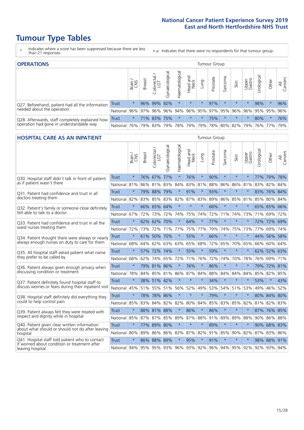# **Tumour Type Tables**

- \* Indicates where a score has been suppressed because there are less than 21 responses.
- n.a. Indicates that there were no respondents for that tumour group.

| <b>OPERATIONS</b>                                |              |         |               |                       |                    |                |                  |          | Tumour Group |         |                                     |                 |            |         |                |
|--------------------------------------------------|--------------|---------|---------------|-----------------------|--------------------|----------------|------------------|----------|--------------|---------|-------------------------------------|-----------------|------------|---------|----------------|
|                                                  |              | Brain   | <b>Breast</b> | olorectal<br>LGT<br>Ü | ᠊ᢛ<br>Gynaecologic | Haematological | Head and<br>Neck | Lung     | Prostate     | Sarcoma | Skin                                | Upper<br>Gastro | Urological | Other   | All<br>Cancers |
| Q27. Beforehand, patient had all the information | Trust        | $\star$ |               | 96% 99%               | 92%                | $\star$        | $\star$          | $\star$  | 97%          | $\star$ | $\star$                             | $\star$         | 98%        | $\star$ | 96%            |
| needed about the operation                       | National     | 96%     | 97%           | 96%                   | 96%                |                |                  |          |              |         | 94% 96% 95% 97% 95% 96% 96% 95% 95% |                 |            |         | 96%            |
| Q28. Afterwards, staff completely explained how  | <b>Trust</b> | $\star$ |               | 71% 83%               | 75%                | $\star$        | $\star$          | $^\star$ | 75%          |         | $\star$                             | $\star$         | 80%        | $\ast$  | 76%            |
| operation had gone in understandable way         | National I   | 76%     |               | 79% 83%               |                    | 79% 78% 79%    |                  |          | 79% 78%      |         | 80% 82% 79% 76% 77%                 |                 |            |         | 79%            |

#### **HOSPITAL CARE AS AN INPATIENT** Tumour Group

|                                                                                                   |              | Brain   | <b>Breast</b> | $\frac{\text{Colored}}{\text{LGT}}$ | Gynaecological | Haematological | Head and<br>Neck | Lung    | Prostate | Sarcoma | Skin            | Upper<br>Gastro | Urological | Other       | Cancers<br>$\overline{\overline{z}}$ |
|---------------------------------------------------------------------------------------------------|--------------|---------|---------------|-------------------------------------|----------------|----------------|------------------|---------|----------|---------|-----------------|-----------------|------------|-------------|--------------------------------------|
| Q30. Hospital staff didn't talk in front of patient<br>as if patient wasn't there                 | <b>Trust</b> | $\star$ | 76%           | 67%                                 | 77%            | $\star$        | 76%              | $\star$ | 90%      | $\star$ | $\star$         | $\star$         | 77%        | 79%         | 78%                                  |
|                                                                                                   | National     | 81%     | 86%           | 81%                                 | 83%            | 84%            |                  | 83% 81% | 88%      | 86%     | 86%             | 81%             | 83%        | 82%         | 84%                                  |
| 031. Patient had confidence and trust in all<br>doctors treating them                             | <b>Trust</b> | $\star$ | 79%           | 88%                                 | 79%            | $\star$        | 91%              | $\star$ | 93%      | $\star$ | $\star$         |                 |            | 83% 76%     | 84%                                  |
|                                                                                                   | National     | 82%     | 83%           | 85%                                 | 83%            | 82%            |                  | 87% 83% | 89%      | 86%     | 85%             | 81%             | 85%        | 80%         | 84%                                  |
| Q32. Patient's family or someone close definitely                                                 | <b>Trust</b> | $\star$ |               | 66% 65%                             | 64%            | $\star$        | $\star$          | $\star$ | 68%      | $\star$ | $\star$         | $\star$         |            | 65% 65%     | 66%                                  |
| felt able to talk to a doctor                                                                     | National     | 67%     | 72%           | 73%                                 | 72%            | 74%            | 75%              | 74%     | 72%      | 71%     | 74%             | 73%             | 71%        | 69%         | 72%                                  |
| Q33. Patient had confidence and trust in all the<br>ward nurses treating them                     | <b>Trust</b> | $\star$ | 62%           | 62%                                 | 70%            | $\star$        | 64%              | $\star$ | 77%      | $\star$ | $\star$         | $\star$         |            | 72% 72%     | 69%                                  |
|                                                                                                   | National     | 72%     | 73%           | 72%                                 |                | 71% 77%        |                  | 75% 77% | 79%      | 74%     | 75%             | 73%             | 77%        | 69% 74%     |                                      |
| Q34. Patient thought there were always or nearly<br>always enough nurses on duty to care for them | <b>Trust</b> | $\star$ | 61%           | 50%                                 | 70%            | $\star$        | 55%              | $\star$ | 66%      | $\star$ | $\star$         | $\star$         | 44%        | 56%         | 58%                                  |
|                                                                                                   | National     | 68%     | 64%           | 62%                                 | 63%            | 63%            | 65%              | 68%     | 72%      | 65%     | 70%             | 65%             | 66%        | 60%         | 64%                                  |
| Q35. All hospital staff asked patient what name<br>they prefer to be called by                    | <b>Trust</b> | $\star$ | 57%           | 72%                                 | 74%            | $\star$        | 55%              | $\star$ | 59%      | $\star$ | $\star$         | $\star$         |            | 62% 52%     | 63%                                  |
|                                                                                                   | National     | 68%     | 62%           | 74%                                 | 65%            | 72%            |                  | 71% 76% | 72%      | 74%     | 70%             | 78%             | 76%        | 69% 71%     |                                      |
| Q36. Patient always given enough privacy when                                                     | Trust        | $\star$ | 79%           | 81%                                 | 86%            | $\star$        | 76%              | $\star$ | 86%      | $\star$ | $\star$         | $\star$         | 79%        | 72%         | 81%                                  |
| discussing condition or treatment                                                                 | National     | 78%     | 84%           | 85%                                 | 81%            | 86%            |                  | 87% 84% | 88%      | 84%     | 84%             | 84%             | 85%        | 82% 85%     |                                      |
| Q37. Patient definitely found hospital staff to                                                   | <b>Trust</b> | $\star$ |               | 38% 51% 42%                         |                | $\star$        | $\star$          | $\star$ | 34%      | $\star$ | $\star$         | $\star$         | 53%        | $\star$     | 43%                                  |
| discuss worries or fears during their inpatient visit                                             | National     | 45%     |               | 51% 55% 51%                         |                | 56%            | 52%              | 49%     | 53%      | 54%     |                 | 51% 53%         | 49%        | 46%         | 52%                                  |
| Q38. Hospital staff definitely did everything they                                                | Trust        | $\star$ | 78%           | 78% 86%                             |                | $\star$        | $\star$          | $\star$ | 79%      | $\star$ | $\star$         | $\star$         |            | 80% 84% 80% |                                      |
| could to help control pain                                                                        | National     | 85%     | 83%           | 84%                                 | 82%            | 82%            | 80%              | 84%     | 85%      | 83%     | 85%             | 82%             | 81%        | 82%         | 83%                                  |
| Q39. Patient always felt they were treated with                                                   | Trust        | $\star$ |               | 88% 81% 88%                         |                | $\star$        | 86%              | $\star$ | 86%      | $\star$ | $\star$         |                 |            | 87% 76% 85% |                                      |
| respect and dignity while in hospital                                                             | National     | 85%     |               | 87% 87%                             | 85%            | 89%            |                  | 87% 88% | 91%      | 89%     | 89%             | 88%             |            | 90% 86% 88% |                                      |
| Q40. Patient given clear written information<br>about what should or should not do after leaving  | <b>Trust</b> | $\star$ | 77%           | 89%                                 | 80%            | $\star$        | $\star$          | $\star$ | 89%      | $\star$ | $\star$         | $\star$         |            | 90% 68%     | 83%                                  |
| hospital                                                                                          | National     | 80%     | 89%           | 86%                                 | 86%            | 83%            | 87%              | 82%     | 91%      | 85%     | 90%             | 82%             | 87%        | 83%         | 86%                                  |
| Q41. Hospital staff told patient who to contact                                                   | Trust        | $\star$ | 86%           | 88%                                 | 89%            | $\star$        | 95%              | $\star$ | 91%      | $\star$ | $\star$         | $\star$         |            | 98% 88%     | 91%                                  |
| if worried about condition or treatment after<br>leaving hospital                                 | National     | 94%     |               | 95% 95% 93%                         |                | 96%            |                  | 93% 92% |          |         | 96% 94% 95% 92% |                 | 92%        | 93% 94%     |                                      |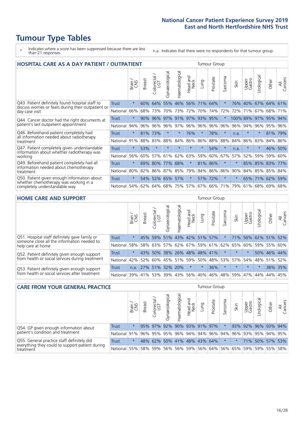# **Tumour Type Tables**

- \* Indicates where a score has been suppressed because there are less than 21 responses.
- n.a. Indicates that there were no respondents for that tumour group.

| <b>HOSPITAL CARE AS A DAY PATIENT / OUTPATIENT</b>                                                                    | <b>Tumour Group</b> |         |               |                          |                |                |                         |         |          |         |          |                 |             |                 |                |
|-----------------------------------------------------------------------------------------------------------------------|---------------------|---------|---------------|--------------------------|----------------|----------------|-------------------------|---------|----------|---------|----------|-----------------|-------------|-----------------|----------------|
|                                                                                                                       |                     | Brain   | <b>Breast</b> | colorectal /<br>LGT<br>Ü | Gynaecological | Haematological | ead and<br>Neck<br>Head | Lung    | Prostate | Sarcoma | Skin     | Upper<br>Gastro | Urological  | Other           | All<br>Cancers |
| Q43. Patient definitely found hospital staff to                                                                       | <b>Trust</b>        | $\star$ | 60%           | 64%                      | 55%            | 46%            | 56%                     | 71%     | 64%      | $\star$ | 76%      | 40%             | 67%         | 64%             | 61%            |
| discuss worries or fears during their outpatient or<br>day case visit                                                 | National            | 66%     | 68%           | 73%                      | 70%            | 73%            | 72%                     | 70%     | 74%      | 72%     | 72%      | 71%             | 67%         | 68%             | 71%            |
| Q44. Cancer doctor had the right documents at<br>patient's last outpatient appointment                                | Trust               | $\star$ | 90%           | 96%                      | 97%            | 91%            | 97%                     | 93%     | 95%      | $\star$ | 100% 89% |                 | 97%         | 95%             | 94%            |
|                                                                                                                       | National            | 94%     | 96%           | 96%                      | 96%            | 97%            |                         | 96% 96% | 96%      | 96%     | 96%      | 94%             | 96%         | 95%             | 96%            |
| Q46. Beforehand patient completely had                                                                                | <b>Trust</b>        | $\star$ | 81%           | 73%                      | $\star$        | $\ast$         | 76%                     | $\star$ | 78%      | $\star$ | n.a.     | $\star$         | $\star$     | 81%             | 79%            |
| all information needed about radiotherapy<br>treatment                                                                | National            | 91%     | 88%           | 83%                      | 88%            | 84%            | 86%                     | 86%     | 88%      | 88%     | 84%      | 86%             | 83%         | 84%             | 86%            |
| Q47. Patient completely given understandable                                                                          | Trust               | $\star$ | 53%           | $\star$                  |                |                | $\star$                 | $\star$ | 54%      | $\star$ | n.a.     |                 | $\star$     | 46%             | 50%            |
| information about whether radiotherapy was<br>working                                                                 | National            | 56%     | 60%           | 57%                      | 61%            | 62%            | 63%                     | 59%     | 60%      | 67%     | 57%      | 52%             | 59%         | 59%             | 60%            |
| Q49. Beforehand patient completely had all                                                                            | <b>Trust</b>        | $\star$ | 69%           | 80%                      | 77%            | 68%            | $\star$                 | 81%     | 86%      | $\star$ |          |                 | 85% 85% 83% |                 | 77%            |
| information needed about chemotherapy<br>treatment                                                                    | National            | 80%     | 82%           | 86%                      | 87%            | 85%            | 79%                     |         | 84% 86%  | 86%     | 90%      |                 |             | 84% 85% 85% 84% |                |
| Q50. Patient given enough information about<br>whether chemotherapy was working in a<br>completely understandable way | <b>Trust</b>        | $\star$ | 54%           | 52%                      | 65%            | 57%            | $\star$                 | 57%     | 72%      | $\star$ | $\star$  | 65%             | 71%         | 62%             | 59%            |
|                                                                                                                       | National            | 54%     | 62%           | 64%                      | 68%            | 75%            |                         | 57% 67% | 66%      | 71%     | 79%      | 61%             | 68%         | 69%             | 68%            |

#### **HOME CARE AND SUPPORT** Tumour Group

|                                                                                                                   |                                          | Brain   | <b>Breast</b> | Colorectal<br>LGT | Gynaecological | Haematological | Head and<br>Neck | Dung                | Prostate | Sarcoma | Skin                                                | Upper<br>Gastro | Urological | Other           | All<br>Cancers |
|-------------------------------------------------------------------------------------------------------------------|------------------------------------------|---------|---------------|-------------------|----------------|----------------|------------------|---------------------|----------|---------|-----------------------------------------------------|-----------------|------------|-----------------|----------------|
| Q51. Hospital staff definitely gave family or<br>someone close all the information needed to<br>help care at home | <b>Trust</b>                             | $\star$ | 45%           | 59%               |                |                |                  | 51% 43% 42% 51% 57% |          | $\star$ | 71%                                                 | 56% 62% 51%     |            |                 | 52%            |
|                                                                                                                   | National                                 | 58%     |               | 58% 63%           |                |                |                  |                     |          |         | 57% 62% 67% 59% 61% 62% 65%                         |                 |            | 60%   59%   55% | 60%            |
| Q52. Patient definitely given enough support<br>from health or social services during treatment                   | Trust                                    | $\star$ |               | 43% 50%           |                |                |                  | 38% 26% 48% 48% 41% |          |         | $\star$                                             | $\star$         |            | 50% 46% 44%     |                |
|                                                                                                                   | National                                 |         |               |                   |                |                |                  |                     |          |         | 42% 52% 60% 45% 51% 59% 50% 48% 53% 57% 54% 48% 51% |                 |            |                 | 52%            |
| Q53. Patient definitely given enough support<br>from health or social services after treatment                    | Trust                                    |         |               | n.a. $27\%$ 51%   | 32% 20%        |                | $\star$          | $\star$             | 36%      | $\star$ | $\star$                                             | $\star$         |            | 38% 35%         |                |
|                                                                                                                   | National 39% 41% 53% 39% 43% 56% 40% 46% |         |               |                   |                |                |                  |                     |          |         | 48% 59%                                             | 47% 44%         |            | 44%             | 45%            |

| <b>CARE FROM YOUR GENERAL PRACTICE</b>                                                                     |              |               |               |                   |                |                                                         | Tumour Group     |      |          |         |      |                     |                 |       |                |
|------------------------------------------------------------------------------------------------------------|--------------|---------------|---------------|-------------------|----------------|---------------------------------------------------------|------------------|------|----------|---------|------|---------------------|-----------------|-------|----------------|
|                                                                                                            |              | Brain.<br>CNS | <b>Breast</b> | Colorectal<br>LGT | Gynaecological | Haematological                                          | Head and<br>Neck | Lung | Prostate | Sarcoma | Skin | Upper<br>Gastro     | Jrologica       | Other | All<br>Cancers |
| Q54. GP given enough information about<br>patient's condition and treatment                                | <b>Trust</b> | $\star$       |               | 95% 97%           |                | 92% 90% 93% 91% 97%                                     |                  |      |          |         |      | 93% 92% 96% 93% 94% |                 |       |                |
|                                                                                                            | National 91% |               |               |                   |                | 96% 95% 95% 96% 94% 94% 96% 94% 96%                     |                  |      |          |         |      |                     | 93% 95% 94% 95% |       |                |
| Q55. General practice staff definitely did<br>everything they could to support patient during<br>treatment | <b>Trust</b> | $\star$       |               | 48% 62%           |                | 50% 41% 48% 43% 64%                                     |                  |      |          |         |      |                     | 71% 50% 57% 53% |       |                |
|                                                                                                            | National 55% |               |               |                   |                | 58% 59% 56% 56% 59% 56% 64% 56% 65% 59% 59% 55% 55% 58% |                  |      |          |         |      |                     |                 |       |                |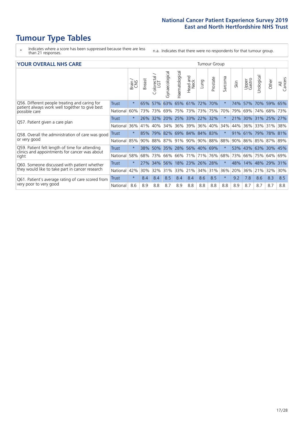# **Tumour Type Tables**

- \* Indicates where a score has been suppressed because there are less than 21 responses.
- n.a. Indicates that there were no respondents for that tumour group.

#### **YOUR OVERALL NHS CARE** THE TWO CONTROLLER THE THE THROUP CHANGE THE TUMOUR GROUP

|              | Brain   | <b>Breast</b> | Colorectal | Gynaecological | Haematological            | aad and<br>Neck<br>Head | Lung                  | Prostate | Sarcoma                                                                                                                 | Skin    | Upper<br>Gastro | Urological | Other             | All<br>Cancers                                                                    |
|--------------|---------|---------------|------------|----------------|---------------------------|-------------------------|-----------------------|----------|-------------------------------------------------------------------------------------------------------------------------|---------|-----------------|------------|-------------------|-----------------------------------------------------------------------------------|
| Trust        | $\star$ | 65%           | 57%        |                | 65%                       | 61%                     | 72%                   |          | $\ast$                                                                                                                  | 74%     | 57%             | 70%        | 59%               | 65%                                                                               |
| National     | 60%     |               |            | 69%            | 75%                       |                         |                       |          | 70%                                                                                                                     | 79%     | 69%             | 74%        |                   | 73%                                                                               |
| <b>Trust</b> | $\star$ |               |            |                |                           |                         |                       |          |                                                                                                                         | 21%     |                 |            |                   |                                                                                   |
| National     | 36%     | 41%           | 40%        | 34%            | 36%                       | 39%                     | 36%                   |          | 34%                                                                                                                     | 44%     | 36%             | 33%        | 31%               | 38%                                                                               |
| Trust        | $\star$ | 85%           | 79%        |                |                           |                         |                       |          | $\star$                                                                                                                 | 91%     | 61%             |            | 78% 81%           |                                                                                   |
| National     | 85%     |               |            |                |                           | 90%                     |                       |          | 88%                                                                                                                     |         |                 |            |                   |                                                                                   |
| Trust        | $\star$ |               |            |                |                           |                         |                       |          | $\star$                                                                                                                 | 53%     |                 |            |                   |                                                                                   |
| National     | 58%     | 68%           | 73%        | 66%            | 66%                       | 71%                     | 71%                   |          | 68%                                                                                                                     | 73%     | 66%             | 75%        |                   | 69%                                                                               |
| Trust        | $\star$ | 27%           | 34%        | 56%            |                           |                         |                       |          | $\star$                                                                                                                 | 48%     | 14%             |            |                   | 31%                                                                               |
| National     | 42%     | 30%           | 32%        | 31%            | 33%                       |                         | 34%                   |          | 36%                                                                                                                     | 20%     | 36%             |            |                   | 30%                                                                               |
| Trust        | $\star$ | 8.4           | 8.4        | 8.5            | 8.4                       | 8.4                     | 8.6                   | 8.5      | $\star$                                                                                                                 | 9.2     | 7.8             | 8.6        | 8.3               | 8.5                                                                               |
| National     | 8.6     | 8.9           | 8.8        | 8.7            | 8.9                       | 8.8                     | 8.8                   | 8.8      | 8.8                                                                                                                     | 8.9     | 8.7             | 8.7        | 8.7               | 8.8                                                                               |
|              |         |               |            | $90\%$         | 73% 73%<br>26% 32%<br>88% | 63%<br>87%<br>91%       | 73%<br>18% 23%<br>21% | 26%      | 70%<br>73% 75%<br>20% 25% 33% 22% 32%<br>40%<br>82% 69% 84% 84% 83%<br>38% 50% 35% 28% 56% 40% 69%<br>76%<br>28%<br>31% | 90% 88% |                 | 90%        | 79%<br>48%<br>21% | 68%<br>30% 31% 25% 27%<br>86% 85% 87% 89%<br>43% 63% 30% 45%<br>64%<br>29%<br>32% |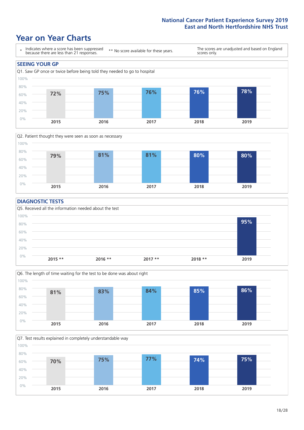### **Year on Year Charts**





#### **DIAGNOSTIC TESTS**





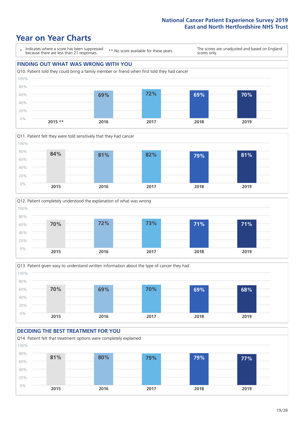







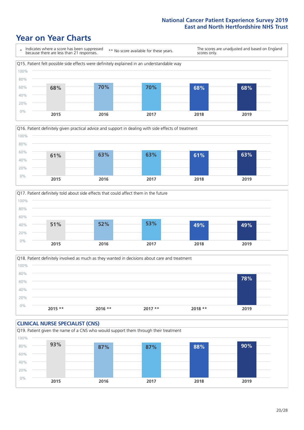





Q18. Patient definitely involved as much as they wanted in decisions about care and treatment  $0%$ 20% 40% 60% 80% 100% **2015 \*\* 2016 \*\* 2017 \*\* 2018 \*\* 2019 78%**

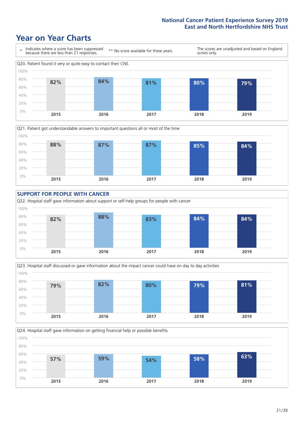







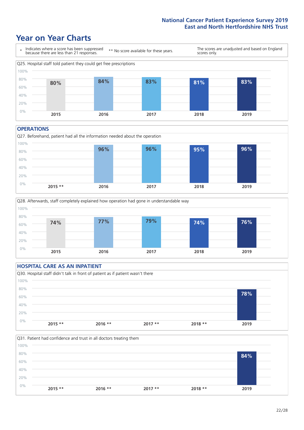### **Year on Year Charts**



#### **OPERATIONS**





#### **HOSPITAL CARE AS AN INPATIENT** Q30. Hospital staff didn't talk in front of patient as if patient wasn't there 0% 20% 40% 60% 80% 100% **2015 \*\* 2016 \*\* 2017 \*\* 2018 \*\* 2019 78%**

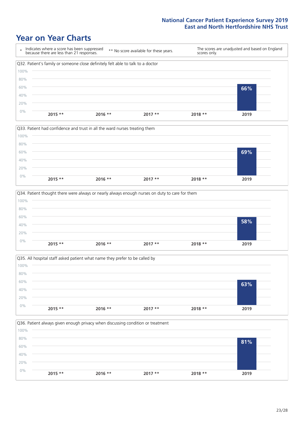







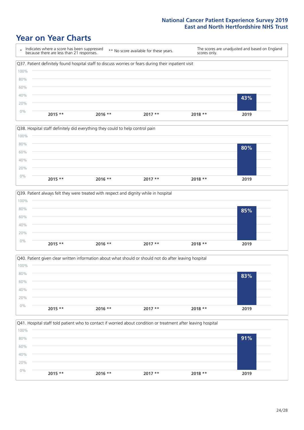







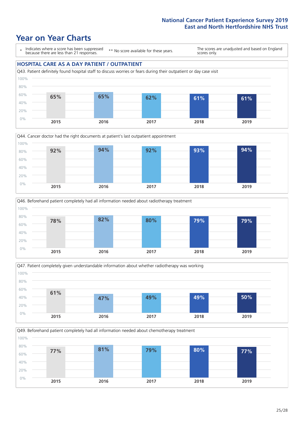### **Year on Year Charts**

\* Indicates where a score has been suppressed because there are less than 21 responses.

\*\* No score available for these years.

The scores are unadjusted and based on England scores only.

#### **HOSPITAL CARE AS A DAY PATIENT / OUTPATIENT**









Q49. Beforehand patient completely had all information needed about chemotherapy treatment

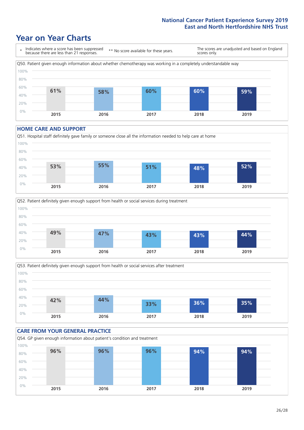### **Year on Year Charts**



#### **HOME CARE AND SUPPORT**







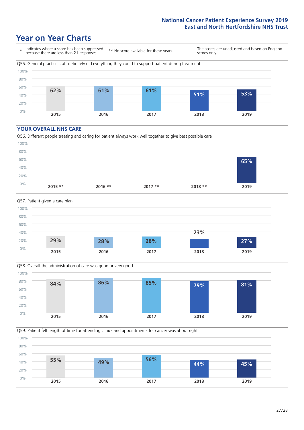### **Year on Year Charts**

\* Indicates where a score has been suppressed because there are less than 21 responses. \*\* No score available for these years. The scores are unadjusted and based on England scores only. Q55. General practice staff definitely did everything they could to support patient during treatment 0% 20% 40% 60% 80% 100% **2015 2016 2017 2018 2019 62% 61% 61% 51% 53%**

#### **YOUR OVERALL NHS CARE**







**2015 2016 2017 2018 2019**

Q59. Patient felt length of time for attending clinics and appointments for cancer was about right 0% 20% 40% 60% 80% 100% **55% 49% 56% 44% 45%**